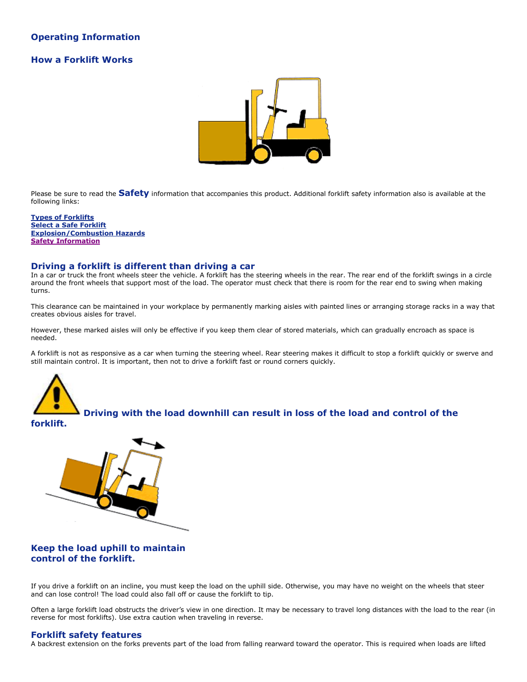# **Operating Information**

# **How a Forklift Works**



Please be sure to read the **Safety** information that accompanies this product. Additional forklift safety information also is available at the following links:

**[Types of Forklifts](#page-3-0) [Select a Safe Forklift](#page-4-0) [Explosion/Combustion Hazards](#page-5-0) [Safety Information](#page-6-0)**

# **Driving a forklift is different than driving a car**

In a car or truck the front wheels steer the vehicle. A forklift has the steering wheels in the rear. The rear end of the forklift swings in a circle around the front wheels that support most of the load. The operator must check that there is room for the rear end to swing when making turns.

This clearance can be maintained in your workplace by permanently marking aisles with painted lines or arranging storage racks in a way that creates obvious aisles for travel.

However, these marked aisles will only be effective if you keep them clear of stored materials, which can gradually encroach as space is needed.

A forklift is not as responsive as a car when turning the steering wheel. Rear steering makes it difficult to stop a forklift quickly or swerve and still maintain control. It is important, then not to drive a forklift fast or round corners quickly.



**Driving with the load downhill can result in loss of the load and control of the** 

**forklift.**



# **Keep the load uphill to maintain control of the forklift.**

If you drive a forklift on an incline, you must keep the load on the uphill side. Otherwise, you may have no weight on the wheels that steer and can lose control! The load could also fall off or cause the forklift to tip.

Often a large forklift load obstructs the driver's view in one direction. It may be necessary to travel long distances with the load to the rear (in reverse for most forklifts). Use extra caution when traveling in reverse.

# **Forklift safety features**

A backrest extension on the forks prevents part of the load from falling rearward toward the operator. This is required when loads are lifted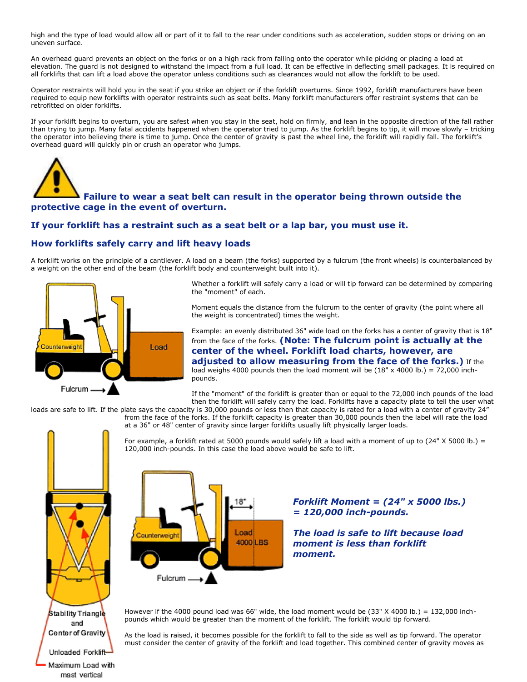high and the type of load would allow all or part of it to fall to the rear under conditions such as acceleration, sudden stops or driving on an uneven surface.

An overhead guard prevents an object on the forks or on a high rack from falling onto the operator while picking or placing a load at elevation. The guard is not designed to withstand the impact from a full load. It can be effective in deflecting small packages. It is required on all forklifts that can lift a load above the operator unless conditions such as clearances would not allow the forklift to be used.

Operator restraints will hold you in the seat if you strike an object or if the forklift overturns. Since 1992, forklift manufacturers have been required to equip new forklifts with operator restraints such as seat belts. Many forklift manufacturers offer restraint systems that can be retrofitted on older forklifts.

If your forklift begins to overturn, you are safest when you stay in the seat, hold on firmly, and lean in the opposite direction of the fall rather than trying to jump. Many fatal accidents happened when the operator tried to jump. As the forklift begins to tip, it will move slowly – tricking the operator into believing there is time to jump. Once the center of gravity is past the wheel line, the forklift will rapidly fall. The forklift's overhead guard will quickly pin or crush an operator who jumps.



# **Failure to wear a seat belt can result in the operator being thrown outside the protective cage in the event of overturn.**

# **If your forklift has a restraint such as a seat belt or a lap bar, you must use it.**

# **How forklifts safely carry and lift heavy loads**

A forklift works on the principle of a cantilever. A load on a beam (the forks) supported by a fulcrum (the front wheels) is counterbalanced by a weight on the other end of the beam (the forklift body and counterweight built into it).



Whether a forklift will safely carry a load or will tip forward can be determined by comparing the "moment" of each.

Moment equals the distance from the fulcrum to the center of gravity (the point where all the weight is concentrated) times the weight.

Example: an evenly distributed 36" wide load on the forks has a center of gravity that is 18" from the face of the forks. **(Note: The fulcrum point is actually at the center of the wheel. Forklift load charts, however, are adjusted to allow measuring from the face of the forks.)** If the load weighs 4000 pounds then the load moment will be  $(18" \times 4000 \text{ lb.}) = 72,000 \text{ inch}$ pounds.

If the "moment" of the forklift is greater than or equal to the 72,000 inch pounds of the load then the forklift will safely carry the load. Forklifts have a capacity plate to tell the user what

loads are safe to lift. If the plate says the capacity is 30,000 pounds or less then that capacity is rated for a load with a center of gravity 24" from the face of the forks. If the forklift capacity is greater than 30,000 pounds then the label will rate the load

at a 36" or 48" center of gravity since larger forklifts usually lift physically larger loads.



Maximum Load with mast vertical

For example, a forklift rated at 5000 pounds would safely lift a load with a moment of up to  $(24" X 5000 lb.) =$ 120,000 inch-pounds. In this case the load above would be safe to lift.



*Forklift Moment = (24" x 5000 lbs.) = 120,000 inch-pounds.*

*The load is safe to lift because load moment is less than forklift moment.*

However if the 4000 pound load was 66" wide, the load moment would be  $(33" X 4000 lb.) = 132,000 inch$ pounds which would be greater than the moment of the forklift. The forklift would tip forward.

As the load is raised, it becomes possible for the forklift to fall to the side as well as tip forward. The operator must consider the center of gravity of the forklift and load together. This combined center of gravity moves as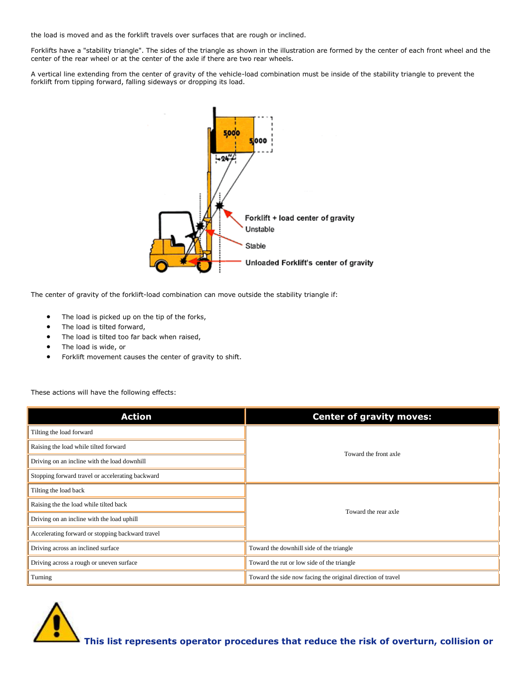the load is moved and as the forklift travels over surfaces that are rough or inclined.

Forklifts have a "stability triangle". The sides of the triangle as shown in the illustration are formed by the center of each front wheel and the center of the rear wheel or at the center of the axle if there are two rear wheels.

A vertical line extending from the center of gravity of the vehicle-load combination must be inside of the stability triangle to prevent the forklift from tipping forward, falling sideways or dropping its load.



The center of gravity of the forklift-load combination can move outside the stability triangle if:

- The load is picked up on the tip of the forks,
- The load is tilted forward,
- The load is tilted too far back when raised,
- The load is wide, or
- Forklift movement causes the center of gravity to shift.

These actions will have the following effects:

| <b>Action</b>                                    | <b>Center of gravity moves:</b>                             |  |
|--------------------------------------------------|-------------------------------------------------------------|--|
| Tilting the load forward                         |                                                             |  |
| Raising the load while tilted forward            | Toward the front axle                                       |  |
| Driving on an incline with the load downhill     |                                                             |  |
| Stopping forward travel or accelerating backward |                                                             |  |
| Tilting the load back                            | Toward the rear axle                                        |  |
| Raising the the load while tilted back           |                                                             |  |
| Driving on an incline with the load uphill       |                                                             |  |
| Accelerating forward or stopping backward travel |                                                             |  |
| Driving across an inclined surface               | Toward the downhill side of the triangle                    |  |
| Driving across a rough or uneven surface         | Toward the rut or low side of the triangle                  |  |
| Turning                                          | Toward the side now facing the original direction of travel |  |

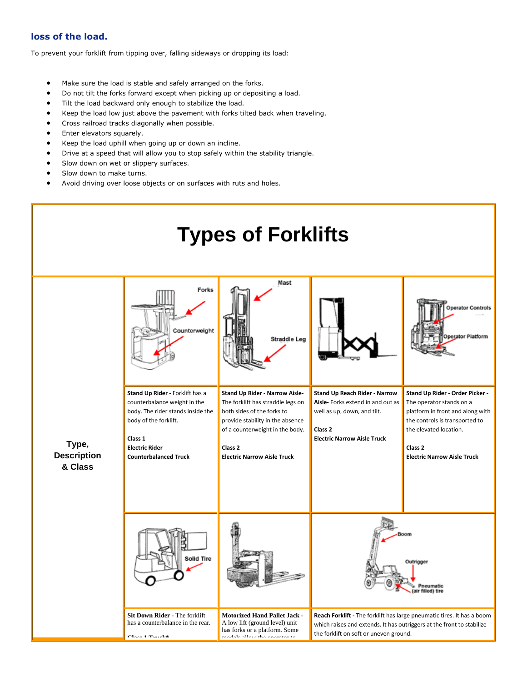# **loss of the load.**

To prevent your forklift from tipping over, falling sideways or dropping its load:

- Make sure the load is stable and safely arranged on the forks.
- Do not tilt the forks forward except when picking up or depositing a load.
- Tilt the load backward only enough to stabilize the load.
- Keep the load low just above the pavement with forks tilted back when traveling.
- Cross railroad tracks diagonally when possible.
- Enter elevators squarely.
- Keep the load uphill when going up or down an incline.
- Drive at a speed that will allow you to stop safely within the stability triangle.
- Slow down on wet or slippery surfaces.
- Slow down to make turns.
- <span id="page-3-0"></span>Avoid driving over loose objects or on surfaces with ruts and holes.

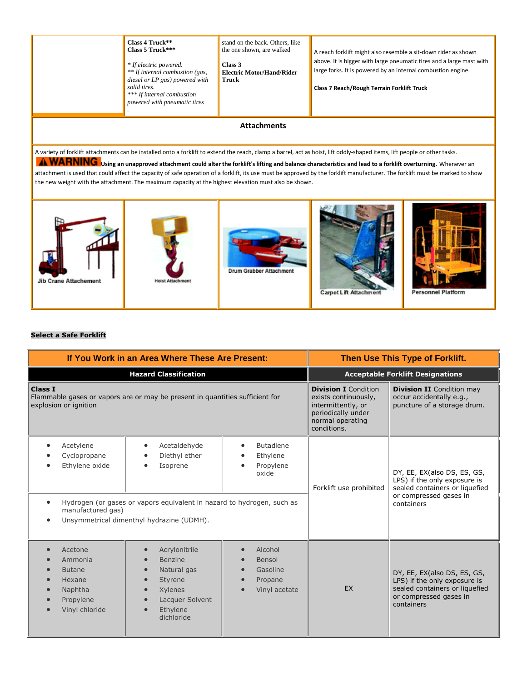

## <span id="page-4-0"></span>**Select a Safe Forklift**

| If You Work in an Area Where These Are Present:                                                                         |                                                                                                                                                                  | Then Use This Type of Forklift.                                                                                                    |                                                                                             |                                                                                                                                       |
|-------------------------------------------------------------------------------------------------------------------------|------------------------------------------------------------------------------------------------------------------------------------------------------------------|------------------------------------------------------------------------------------------------------------------------------------|---------------------------------------------------------------------------------------------|---------------------------------------------------------------------------------------------------------------------------------------|
| <b>Hazard Classification</b>                                                                                            |                                                                                                                                                                  | <b>Acceptable Forklift Designations</b>                                                                                            |                                                                                             |                                                                                                                                       |
| <b>Class I</b><br>Flammable gases or vapors are or may be present in quantities sufficient for<br>explosion or ignition |                                                                                                                                                                  | <b>Division I</b> Condition<br>exists continuously,<br>intermittently, or<br>periodically under<br>normal operating<br>conditions. | <b>Division II</b> Condition may<br>occur accidentally e.g.,<br>puncture of a storage drum. |                                                                                                                                       |
| Acetylene<br>٠<br>Cyclopropane<br>Ethylene oxide<br>$\bullet$<br>manufactured gas)<br>$\bullet$                         | Acetaldehyde<br>Diethyl ether<br>Isoprene<br>Hydrogen (or gases or vapors equivalent in hazard to hydrogen, such as<br>Unsymmetrical dimenthyl hydrazine (UDMH). | <b>Butadiene</b><br>Ethylene<br>Propylene<br>oxide                                                                                 | Forklift use prohibited                                                                     | DY, EE, EX(also DS, ES, GS,<br>LPS) if the only exposure is<br>sealed containers or liquefied<br>or compressed gases in<br>containers |
| Acetone<br>$\bullet$<br>Ammonia<br><b>Butane</b><br>Hexane<br>Naphtha<br>$\bullet$<br>Propylene<br>Vinyl chloride       | Acrylonitrile<br>$\bullet$<br>Benzine<br>Natural gas<br>Styrene<br><b>Xylenes</b><br>Lacquer Solvent<br>Ethylene<br>dichloride                                   | Alcohol<br>Bensol<br>Gasoline<br>Propane<br>Vinyl acetate                                                                          | EX                                                                                          | DY, EE, EX(also DS, ES, GS,<br>LPS) if the only exposure is<br>sealed containers or liquefied<br>or compressed gases in<br>containers |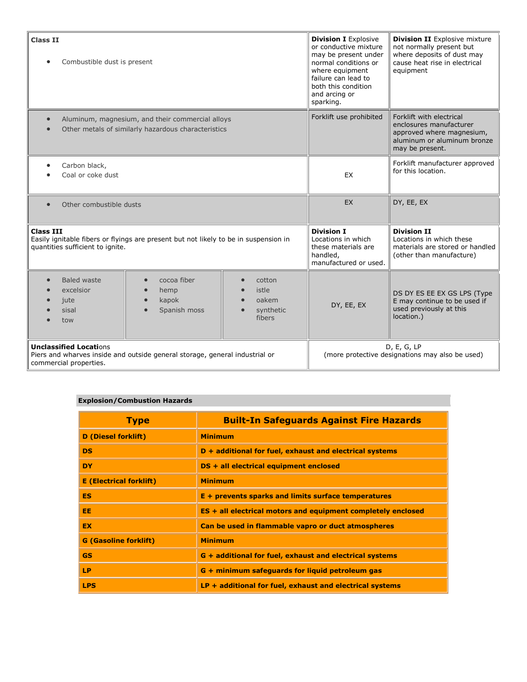| <b>Class II</b><br>Combustible dust is present<br>$\bullet$                                                                                  |                                                                        | <b>Division I</b> Explosive<br>or conductive mixture<br>may be present under<br>normal conditions or<br>where equipment<br>failure can lead to<br>both this condition<br>and arcing or<br>sparking. | <b>Division II</b> Explosive mixture<br>not normally present but<br>where deposits of dust may<br>cause heat rise in electrical<br>equipment |                                                                                                      |
|----------------------------------------------------------------------------------------------------------------------------------------------|------------------------------------------------------------------------|-----------------------------------------------------------------------------------------------------------------------------------------------------------------------------------------------------|----------------------------------------------------------------------------------------------------------------------------------------------|------------------------------------------------------------------------------------------------------|
| Aluminum, magnesium, and their commercial alloys<br>$\bullet$<br>Other metals of similarly hazardous characteristics                         |                                                                        | Forklift use prohibited                                                                                                                                                                             | Forklift with electrical<br>enclosures manufacturer<br>approved where magnesium,<br>aluminum or aluminum bronze<br>may be present.           |                                                                                                      |
| Carbon black,<br>$\bullet$<br>Coal or coke dust                                                                                              |                                                                        | EX                                                                                                                                                                                                  | Forklift manufacturer approved<br>for this location.                                                                                         |                                                                                                      |
| Other combustible dusts<br>$\bullet$                                                                                                         |                                                                        | EX                                                                                                                                                                                                  | DY, EE, EX                                                                                                                                   |                                                                                                      |
| <b>Class III</b><br>Easily ignitable fibers or flyings are present but not likely to be in suspension in<br>quantities sufficient to ignite. |                                                                        | <b>Division I</b><br>Locations in which<br>these materials are<br>handled,<br>manufactured or used.                                                                                                 | <b>Division II</b><br>Locations in which these<br>materials are stored or handled<br>(other than manufacture)                                |                                                                                                      |
| <b>Baled waste</b><br>$\bullet$<br>excelsior<br>jute<br>sisal<br>tow                                                                         | cocoa fiber<br>$\bullet$<br>hemp<br>kapok<br>$\bullet$<br>Spanish moss | cotton<br>istle<br>oakem<br>synthetic<br>fibers                                                                                                                                                     | DY, EE, EX                                                                                                                                   | DS DY ES EE EX GS LPS (Type<br>E may continue to be used if<br>used previously at this<br>location.) |
| <b>Unclassified Locations</b><br>Piers and wharves inside and outside general storage, general industrial or<br>commercial properties.       |                                                                        | D, E, G, LP<br>(more protective designations may also be used)                                                                                                                                      |                                                                                                                                              |                                                                                                      |

# <span id="page-5-0"></span>**Explosion/Combustion Hazards**

| <b>Type</b>                    | <b>Built-In Safeguards Against Fire Hazards</b>                     |
|--------------------------------|---------------------------------------------------------------------|
| <b>D</b> (Diesel forklift)     | <b>Minimum</b>                                                      |
| <b>DS</b>                      | D + additional for fuel, exhaust and electrical systems             |
| <b>DY</b>                      | DS + all electrical equipment enclosed                              |
| <b>E</b> (Electrical forklift) | <b>Minimum</b>                                                      |
| ES.                            | $E +$ prevents sparks and limits surface temperatures               |
| EE.                            | <b>ES + all electrical motors and equipment completely enclosed</b> |
| EX.                            | Can be used in flammable vapro or duct atmospheres                  |
| <b>G</b> (Gasoline forklift)   | <b>Minimum</b>                                                      |
| <b>GS</b>                      | G + additional for fuel, exhaust and electrical systems             |
| <b>LP</b>                      | G + minimum safeguards for liquid petroleum gas                     |
| <b>LPS</b>                     | $LP + additional$ for fuel, exhaust and electrical systems          |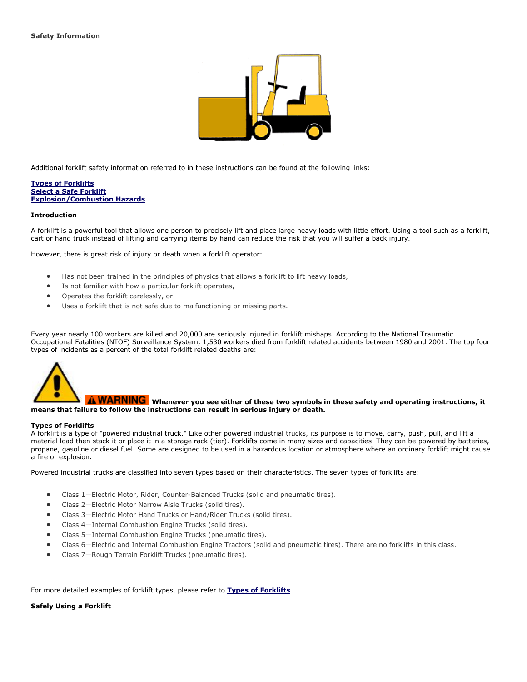

<span id="page-6-0"></span>Additional forklift safety information referred to in these instructions can be found at the following links:

#### **[Types of Forklifts](#page-3-0) [Select a Safe Forklift](#page-4-0) [Explosion/Combustion Hazards](#page-5-0)**

#### **Introduction**

A forklift is a powerful tool that allows one person to precisely lift and place large heavy loads with little effort. Using a tool such as a forklift, cart or hand truck instead of lifting and carrying items by hand can reduce the risk that you will suffer a back injury.

However, there is great risk of injury or death when a forklift operator:

- Has not been trained in the principles of physics that allows a forklift to lift heavy loads,
- Is not familiar with how a particular forklift operates,
- Operates the forklift carelessly, or
- Uses a forklift that is not safe due to malfunctioning or missing parts.

Every year nearly 100 workers are killed and 20,000 are seriously injured in forklift mishaps. According to the National Traumatic Occupational Fatalities (NTOF) Surveillance System, 1,530 workers died from forklift related accidents between 1980 and 2001. The top four types of incidents as a percent of the total forklift related deaths are:



## **A WARNING** Whenever you see either of these two symbols in these safety and operating instructions, it **means that failure to follow the instructions can result in serious injury or death.**

#### **Types of Forklifts**

A forklift is a type of "powered industrial truck." Like other powered industrial trucks, its purpose is to move, carry, push, pull, and lift a material load then stack it or place it in a storage rack (tier). Forklifts come in many sizes and capacities. They can be powered by batteries, propane, gasoline or diesel fuel. Some are designed to be used in a hazardous location or atmosphere where an ordinary forklift might cause a fire or explosion.

Powered industrial trucks are classified into seven types based on their characteristics. The seven types of forklifts are:

- Class 1—Electric Motor, Rider, Counter-Balanced Trucks (solid and pneumatic tires).
- Class 2—Electric Motor Narrow Aisle Trucks (solid tires).
- Class 3—Electric Motor Hand Trucks or Hand/Rider Trucks (solid tires).
- Class 4—Internal Combustion Engine Trucks (solid tires).
- Class 5—Internal Combustion Engine Trucks (pneumatic tires).
- Class 6—Electric and Internal Combustion Engine Tractors (solid and pneumatic tires). There are no forklifts in this class.
- Class 7—Rough Terrain Forklift Trucks (pneumatic tires).

### For more detailed examples of forklift types, please refer to **[Types of Forklifts](#page-3-0)**.

#### **Safely Using a Forklift**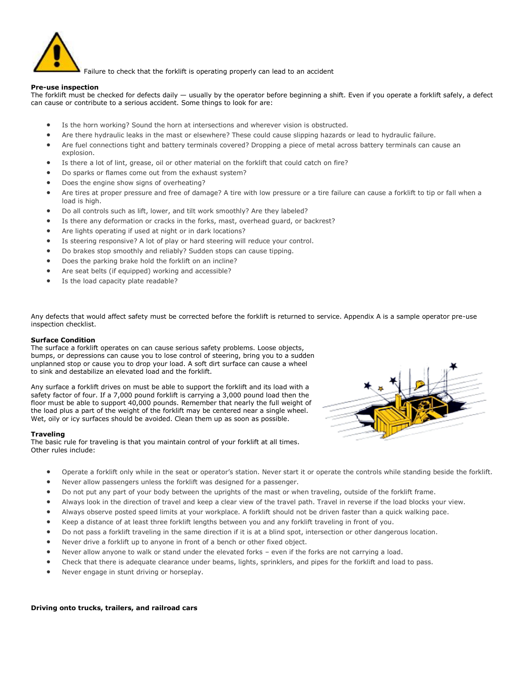

Failure to check that the forklift is operating properly can lead to an accident

#### **Pre-use inspection**

The forklift must be checked for defects daily — usually by the operator before beginning a shift. Even if you operate a forklift safely, a defect can cause or contribute to a serious accident. Some things to look for are:

- Is the horn working? Sound the horn at intersections and wherever vision is obstructed.
- Are there hydraulic leaks in the mast or elsewhere? These could cause slipping hazards or lead to hydraulic failure.
- Are fuel connections tight and battery terminals covered? Dropping a piece of metal across battery terminals can cause an explosion.
- Is there a lot of lint, grease, oil or other material on the forklift that could catch on fire?
- Do sparks or flames come out from the exhaust system?
- Does the engine show signs of overheating?
- Are tires at proper pressure and free of damage? A tire with low pressure or a tire failure can cause a forklift to tip or fall when a load is high.
- Do all controls such as lift, lower, and tilt work smoothly? Are they labeled?
- Is there any deformation or cracks in the forks, mast, overhead guard, or backrest?
- Are lights operating if used at night or in dark locations?
- Is steering responsive? A lot of play or hard steering will reduce your control.
- Do brakes stop smoothly and reliably? Sudden stops can cause tipping.
- Does the parking brake hold the forklift on an incline?
- Are seat belts (if equipped) working and accessible?
- Is the load capacity plate readable?

Any defects that would affect safety must be corrected before the forklift is returned to service. Appendix A is a sample operator pre-use inspection checklist.

## **Surface Condition**

The surface a forklift operates on can cause serious safety problems. Loose objects, bumps, or depressions can cause you to lose control of steering, bring you to a sudden unplanned stop or cause you to drop your load. A soft dirt surface can cause a wheel to sink and destabilize an elevated load and the forklift.

Any surface a forklift drives on must be able to support the forklift and its load with a safety factor of four. If a 7,000 pound forklift is carrying a 3,000 pound load then the floor must be able to support 40,000 pounds. Remember that nearly the full weight of the load plus a part of the weight of the forklift may be centered near a single wheel. Wet, oily or icy surfaces should be avoided. Clean them up as soon as possible.

## **Traveling**

The basic rule for traveling is that you maintain control of your forklift at all times. Other rules include:



- Operate a forklift only while in the seat or operator's station. Never start it or operate the controls while standing beside the forklift.
- Never allow passengers unless the forklift was designed for a passenger.
- Do not put any part of your body between the uprights of the mast or when traveling, outside of the forklift frame.
- Always look in the direction of travel and keep a clear view of the travel path. Travel in reverse if the load blocks your view.
- Always observe posted speed limits at your workplace. A forklift should not be driven faster than a quick walking pace.
- Keep a distance of at least three forklift lengths between you and any forklift traveling in front of you.
- Do not pass a forklift traveling in the same direction if it is at a blind spot, intersection or other dangerous location.
- Never drive a forklift up to anyone in front of a bench or other fixed object.
- Never allow anyone to walk or stand under the elevated forks even if the forks are not carrying a load.
- Check that there is adequate clearance under beams, lights, sprinklers, and pipes for the forklift and load to pass.
- Never engage in stunt driving or horseplay.

**Driving onto trucks, trailers, and railroad cars**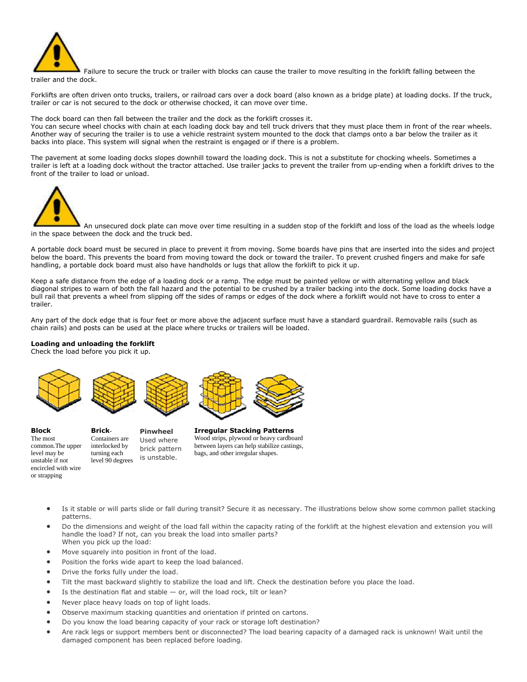

Failure to secure the truck or trailer with blocks can cause the trailer to move resulting in the forklift falling between the trailer and the dock.

Forklifts are often driven onto trucks, trailers, or railroad cars over a dock board (also known as a bridge plate) at loading docks. If the truck, trailer or car is not secured to the dock or otherwise chocked, it can move over time.

The dock board can then fall between the trailer and the dock as the forklift crosses it.

You can secure wheel chocks with chain at each loading dock bay and tell truck drivers that they must place them in front of the rear wheels. Another way of securing the trailer is to use a vehicle restraint system mounted to the dock that clamps onto a bar below the trailer as it backs into place. This system will signal when the restraint is engaged or if there is a problem.

The pavement at some loading docks slopes downhill toward the loading dock. This is not a substitute for chocking wheels. Sometimes a trailer is left at a loading dock without the tractor attached. Use trailer jacks to prevent the trailer from up-ending when a forklift drives to the front of the trailer to load or unload.



An unsecured dock plate can move over time resulting in a sudden stop of the forklift and loss of the load as the wheels lodge in the space between the dock and the truck bed.

A portable dock board must be secured in place to prevent it from moving. Some boards have pins that are inserted into the sides and project below the board. This prevents the board from moving toward the dock or toward the trailer. To prevent crushed fingers and make for safe handling, a portable dock board must also have handholds or lugs that allow the forklift to pick it up.

Keep a safe distance from the edge of a loading dock or a ramp. The edge must be painted yellow or with alternating yellow and black diagonal stripes to warn of both the fall hazard and the potential to be crushed by a trailer backing into the dock. Some loading docks have a bull rail that prevents a wheel from slipping off the sides of ramps or edges of the dock where a forklift would not have to cross to enter a trailer.

Any part of the dock edge that is four feet or more above the adjacent surface must have a standard guardrail. Removable rails (such as chain rails) and posts can be used at the place where trucks or trailers will be loaded.

### **Loading and unloading the forklift**

Check the load before you pick it up.



**Block** The most common.The upper level may be unstable if not encircled with wire or strapping

**Brick**-Containers are interlocked by turning each level 90 degrees **Pinwheel** Used where brick pattern is unstable.

**Irregular Stacking Patterns** Wood strips, plywood or heavy cardboard between layers can help stabilize castings, bags, and other irregular shapes.

- Is it stable or will parts slide or fall during transit? Secure it as necessary. The illustrations below show some common pallet stacking patterns.
- Do the dimensions and weight of the load fall within the capacity rating of the forklift at the highest elevation and extension you will handle the load? If not, can you break the load into smaller parts? When you pick up the load:
- Move squarely into position in front of the load.
- Position the forks wide apart to keep the load balanced.
- Drive the forks fully under the load.
- Tilt the mast backward slightly to stabilize the load and lift. Check the destination before you place the load.
- Is the destination flat and stable or, will the load rock, tilt or lean?
- Never place heavy loads on top of light loads.
- Observe maximum stacking quantities and orientation if printed on cartons.
- Do you know the load bearing capacity of your rack or storage loft destination?
- Are rack legs or support members bent or disconnected? The load bearing capacity of a damaged rack is unknown! Wait until the damaged component has been replaced before loading.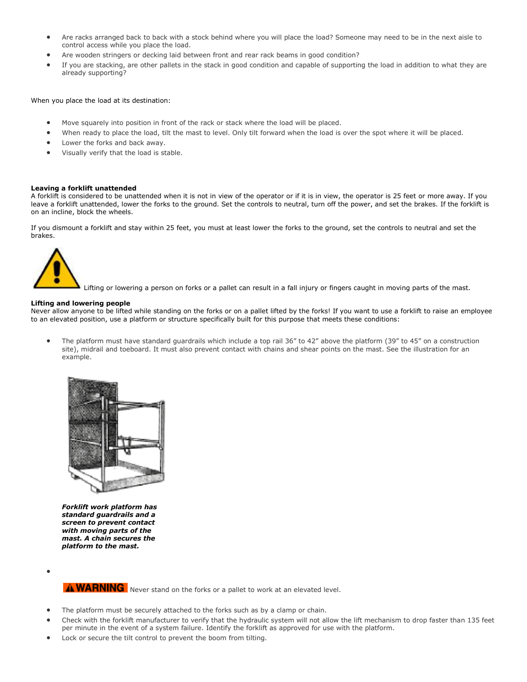- Are racks arranged back to back with a stock behind where you will place the load? Someone may need to be in the next aisle to control access while you place the load.
- Are wooden stringers or decking laid between front and rear rack beams in good condition?
- If you are stacking, are other pallets in the stack in good condition and capable of supporting the load in addition to what they are already supporting?

When you place the load at its destination:

- Move squarely into position in front of the rack or stack where the load will be placed.
- When ready to place the load, tilt the mast to level. Only tilt forward when the load is over the spot where it will be placed.
- Lower the forks and back away.
- Visually verify that the load is stable.

#### **Leaving a forklift unattended**

A forklift is considered to be unattended when it is not in view of the operator or if it is in view, the operator is 25 feet or more away. If you leave a forklift unattended, lower the forks to the ground. Set the controls to neutral, turn off the power, and set the brakes. If the forklift is on an incline, block the wheels.

If you dismount a forklift and stay within 25 feet, you must at least lower the forks to the ground, set the controls to neutral and set the brakes.



Lifting or lowering a person on forks or a pallet can result in a fall injury or fingers caught in moving parts of the mast.

#### **Lifting and lowering people**

Never allow anyone to be lifted while standing on the forks or on a pallet lifted by the forks! If you want to use a forklift to raise an employee to an elevated position, use a platform or structure specifically built for this purpose that meets these conditions:

 The platform must have standard guardrails which include a top rail 36" to 42" above the platform (39" to 45" on a construction site), midrail and toeboard. It must also prevent contact with chains and shear points on the mast. See the illustration for an example.



*Forklift work platform has standard guardrails and a screen to prevent contact with moving parts of the mast. A chain secures the platform to the mast.*

 $\bullet$ 

A WARNING Never stand on the forks or a pallet to work at an elevated level.

- The platform must be securely attached to the forks such as by a clamp or chain.
- Check with the forklift manufacturer to verify that the hydraulic system will not allow the lift mechanism to drop faster than 135 feet per minute in the event of a system failure. Identify the forklift as approved for use with the platform.
- Lock or secure the tilt control to prevent the boom from tilting.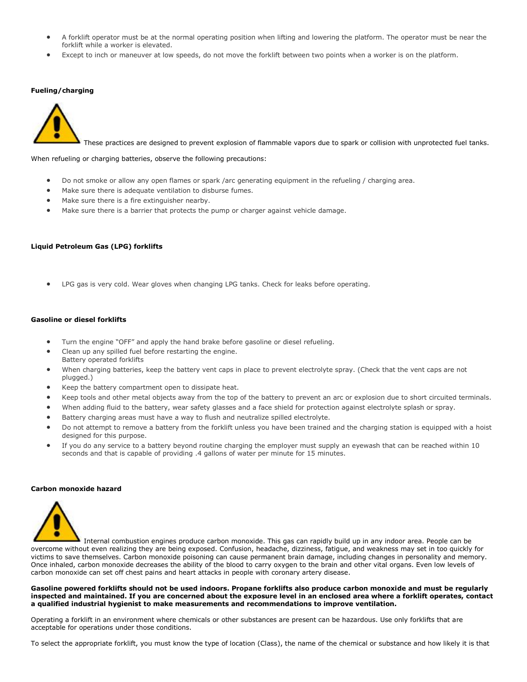- A forklift operator must be at the normal operating position when lifting and lowering the platform. The operator must be near the forklift while a worker is elevated.
- Except to inch or maneuver at low speeds, do not move the forklift between two points when a worker is on the platform.

## **Fueling/charging**



These practices are designed to prevent explosion of flammable vapors due to spark or collision with unprotected fuel tanks.

When refueling or charging batteries, observe the following precautions:

- Do not smoke or allow any open flames or spark /arc generating equipment in the refueling / charging area.
- Make sure there is adequate ventilation to disburse fumes.
- Make sure there is a fire extinguisher nearby.
- Make sure there is a barrier that protects the pump or charger against vehicle damage.

## **Liquid Petroleum Gas (LPG) forklifts**

LPG gas is very cold. Wear gloves when changing LPG tanks. Check for leaks before operating.

#### **Gasoline or diesel forklifts**

- Turn the engine "OFF" and apply the hand brake before gasoline or diesel refueling.
- Clean up any spilled fuel before restarting the engine. Battery operated forklifts
- When charging batteries, keep the battery vent caps in place to prevent electrolyte spray. (Check that the vent caps are not plugged.)
- Keep the battery compartment open to dissipate heat.
- Keep tools and other metal objects away from the top of the battery to prevent an arc or explosion due to short circuited terminals.
- When adding fluid to the battery, wear safety glasses and a face shield for protection against electrolyte splash or spray.
- Battery charging areas must have a way to flush and neutralize spilled electrolyte.
- Do not attempt to remove a battery from the forklift unless you have been trained and the charging station is equipped with a hoist designed for this purpose.
- If you do any service to a battery beyond routine charging the employer must supply an eyewash that can be reached within 10 seconds and that is capable of providing .4 gallons of water per minute for 15 minutes.

#### **Carbon monoxide hazard**



Internal combustion engines produce carbon monoxide. This gas can rapidly build up in any indoor area. People can be overcome without even realizing they are being exposed. Confusion, headache, dizziness, fatigue, and weakness may set in too quickly for victims to save themselves. Carbon monoxide poisoning can cause permanent brain damage, including changes in personality and memory. Once inhaled, carbon monoxide decreases the ability of the blood to carry oxygen to the brain and other vital organs. Even low levels of carbon monoxide can set off chest pains and heart attacks in people with coronary artery disease.

**Gasoline powered forklifts should not be used indoors. Propane forklifts also produce carbon monoxide and must be regularly inspected and maintained. If you are concerned about the exposure level in an enclosed area where a forklift operates, contact a qualified industrial hygienist to make measurements and recommendations to improve ventilation.**

Operating a forklift in an environment where chemicals or other substances are present can be hazardous. Use only forklifts that are acceptable for operations under those conditions.

To select the appropriate forklift, you must know the type of location (Class), the name of the chemical or substance and how likely it is that